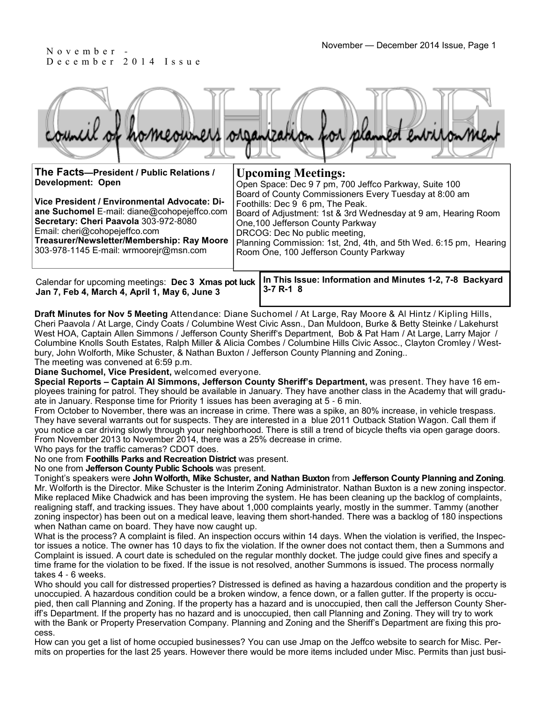# D e c e m b e r 2 0 1 4 I s s u e

|  |  |  | council of homeowners organization for planned environment |
|--|--|--|------------------------------------------------------------|
|  |  |  |                                                            |

| The Facts-President / Public Relations /                                                                                                                                                                                                                             | <b>Upcoming Meetings:</b>                                                                                                                                                                                                                                                                                                                         |  |  |  |  |  |
|----------------------------------------------------------------------------------------------------------------------------------------------------------------------------------------------------------------------------------------------------------------------|---------------------------------------------------------------------------------------------------------------------------------------------------------------------------------------------------------------------------------------------------------------------------------------------------------------------------------------------------|--|--|--|--|--|
| Development: Open                                                                                                                                                                                                                                                    | Open Space: Dec 9 7 pm, 700 Jeffco Parkway, Suite 100                                                                                                                                                                                                                                                                                             |  |  |  |  |  |
| Vice President / Environmental Advocate: Di-<br><b>ane Suchomel</b> E-mail: diane@cohopejeffco.com<br>Secretary: Cheri Paavola 303-972-8080<br>Email: cheri@cohopejeffco.com<br>Treasurer/Newsletter/Membership: Ray Moore<br>303-978-1145 E-mail: wrmoorejr@msn.com | Board of County Commissioners Every Tuesday at 8:00 am<br>Foothills: Dec 9 6 pm, The Peak.<br>Board of Adjustment: 1st & 3rd Wednesday at 9 am, Hearing Room<br>One, 100 Jefferson County Parkway<br>DRCOG: Dec No public meeting,<br>Planning Commission: 1st, 2nd, 4th, and 5th Wed. 6:15 pm, Hearing<br>Room One, 100 Jefferson County Parkway |  |  |  |  |  |
| Calendar for upcoming meetings: Dec 3 Xmas pot luck<br>$\ln 7$ Eeb A March A April 4 May 6 $\ln 2$                                                                                                                                                                   | In This Issue: Information and Minutes 1-2, 7-8 Backyard<br>$3 - 7 R - 1 8$                                                                                                                                                                                                                                                                       |  |  |  |  |  |

**Draft Minutes for Nov 5 Meeting** Attendance: Diane Suchomel / At Large, Ray Moore & Al Hintz / Kipling Hills, Cheri Paavola / At Large, Cindy Coats / Columbine West Civic Assn., Dan Muldoon, Burke & Betty Steinke / Lakehurst West HOA, Captain Allen Simmons / Jefferson County Sheriff's Department, Bob & Pat Ham / At Large, Larry Major / Columbine Knolls South Estates, Ralph Miller & Alicia Combes / Columbine Hills Civic Assoc., Clayton Cromley / Westbury, John Wolforth, Mike Schuster, & Nathan Buxton / Jefferson County Planning and Zoning..

The meeting was convened at 6:59 p.m.

**Jan 7, Feb 4, March 4, April 1, May 6, June 3**

**Diane Suchomel, Vice President,** welcomed everyone.

**Special Reports – Captain Al Simmons, Jefferson County Sheriff's Department,** was present. They have 16 employees training for patrol. They should be available in January. They have another class in the Academy that will graduate in January. Response time for Priority 1 issues has been averaging at 5 - 6 min.

From October to November, there was an increase in crime. There was a spike, an 80% increase, in vehicle trespass. They have several warrants out for suspects. They are interested in a blue 2011 Outback Station Wagon. Call them if you notice a car driving slowly through your neighborhood. There is still a trend of bicycle thefts via open garage doors. From November 2013 to November 2014, there was a 25% decrease in crime.

Who pays for the traffic cameras? CDOT does.

No one from **Foothills Parks and Recreation District** was present.

No one from **Jefferson County Public Schools** was present.

Tonight's speakers were **John Wolforth, Mike Schuster, and Nathan Buxton** from **Jefferson County Planning and Zoning**. Mr. Wolforth is the Director. Mike Schuster is the Interim Zoning Administrator. Nathan Buxton is a new zoning inspector. Mike replaced Mike Chadwick and has been improving the system. He has been cleaning up the backlog of complaints, realigning staff, and tracking issues. They have about 1,000 complaints yearly, mostly in the summer. Tammy (another zoning inspector) has been out on a medical leave, leaving them short-handed. There was a backlog of 180 inspections when Nathan came on board. They have now caught up.

What is the process? A complaint is filed. An inspection occurs within 14 days. When the violation is verified, the Inspector issues a notice. The owner has 10 days to fix the violation. If the owner does not contact them, then a Summons and Complaint is issued. A court date is scheduled on the regular monthly docket. The judge could give fines and specify a time frame for the violation to be fixed. If the issue is not resolved, another Summons is issued. The process normally takes 4 - 6 weeks.

Who should you call for distressed properties? Distressed is defined as having a hazardous condition and the property is unoccupied. A hazardous condition could be a broken window, a fence down, or a fallen gutter. If the property is occupied, then call Planning and Zoning. If the property has a hazard and is unoccupied, then call the Jefferson County Sheriff's Department. If the property has no hazard and is unoccupied, then call Planning and Zoning. They will try to work with the Bank or Property Preservation Company. Planning and Zoning and the Sheriff's Department are fixing this process.

How can you get a list of home occupied businesses? You can use Jmap on the Jeffco website to search for Misc. Permits on properties for the last 25 years. However there would be more items included under Misc. Permits than just busi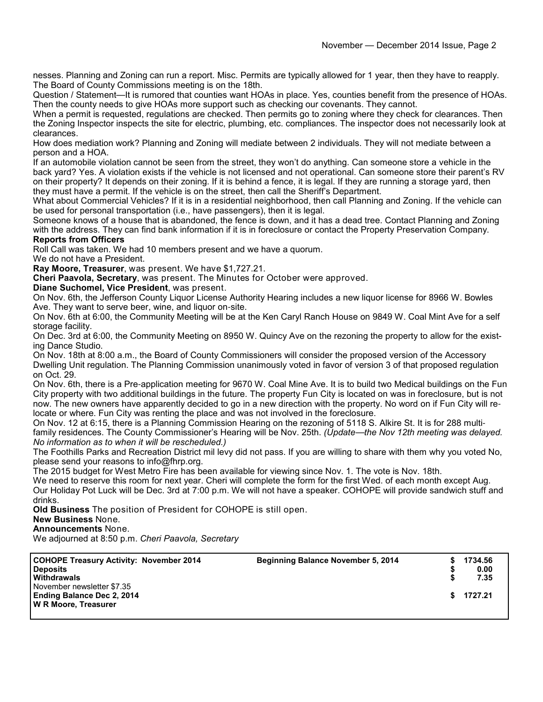nesses. Planning and Zoning can run a report. Misc. Permits are typically allowed for 1 year, then they have to reapply. The Board of County Commissions meeting is on the 18th.

Question / Statement—It is rumored that counties want HOAs in place. Yes, counties benefit from the presence of HOAs. Then the county needs to give HOAs more support such as checking our covenants. They cannot.

When a permit is requested, regulations are checked. Then permits go to zoning where they check for clearances. Then the Zoning Inspector inspects the site for electric, plumbing, etc. compliances. The inspector does not necessarily look at clearances.

How does mediation work? Planning and Zoning will mediate between 2 individuals. They will not mediate between a person and a HOA.

If an automobile violation cannot be seen from the street, they won't do anything. Can someone store a vehicle in the back yard? Yes. A violation exists if the vehicle is not licensed and not operational. Can someone store their parent's RV on their property? It depends on their zoning. If it is behind a fence, it is legal. If they are running a storage yard, then they must have a permit. If the vehicle is on the street, then call the Sheriff's Department.

What about Commercial Vehicles? If it is in a residential neighborhood, then call Planning and Zoning. If the vehicle can be used for personal transportation (i.e., have passengers), then it is legal.

Someone knows of a house that is abandoned, the fence is down, and it has a dead tree. Contact Planning and Zoning with the address. They can find bank information if it is in foreclosure or contact the Property Preservation Company. **Reports from Officers**

Roll Call was taken. We had 10 members present and we have a quorum.

We do not have a President.

**Ray Moore, Treasurer**, was present. We have \$1,727.21.

**Cheri Paavola, Secretary**, was present. The Minutes for October were approved.

**Diane Suchomel, Vice President**, was present.

On Nov. 6th, the Jefferson County Liquor License Authority Hearing includes a new liquor license for 8966 W. Bowles Ave. They want to serve beer, wine, and liquor on-site.

On Nov. 6th at 6:00, the Community Meeting will be at the Ken Caryl Ranch House on 9849 W. Coal Mint Ave for a self storage facility.

On Dec. 3rd at 6:00, the Community Meeting on 8950 W. Quincy Ave on the rezoning the property to allow for the existing Dance Studio.

On Nov. 18th at 8:00 a.m., the Board of County Commissioners will consider the proposed version of the Accessory Dwelling Unit regulation. The Planning Commission unanimously voted in favor of version 3 of that proposed regulation on Oct. 29.

On Nov. 6th, there is a Pre-application meeting for 9670 W. Coal Mine Ave. It is to build two Medical buildings on the Fun City property with two additional buildings in the future. The property Fun City is located on was in foreclosure, but is not now. The new owners have apparently decided to go in a new direction with the property. No word on if Fun City will relocate or where. Fun City was renting the place and was not involved in the foreclosure.

On Nov. 12 at 6:15, there is a Planning Commission Hearing on the rezoning of 5118 S. Alkire St. It is for 288 multifamily residences. The County Commissioner's Hearing will be Nov. 25th. *(Update*—*the Nov 12th meeting was delayed. No information as to when it will be rescheduled.)*

The Foothills Parks and Recreation District mil levy did not pass. If you are willing to share with them why you voted No, please send your reasons to info@fhrp.org.

The 2015 budget for West Metro Fire has been available for viewing since Nov. 1. The vote is Nov. 18th.

We need to reserve this room for next year. Cheri will complete the form for the first Wed. of each month except Aug. Our Holiday Pot Luck will be Dec. 3rd at 7:00 p.m. We will not have a speaker. COHOPE will provide sandwich stuff and drinks.

**Old Business** The position of President for COHOPE is still open.

#### **New Business** None.

**Announcements** None.

We adjourned at 8:50 p.m. *Cheri Paavola, Secretary*

| <b>COHOPE Treasury Activity: November 2014</b><br><b>Deposits</b><br>Withdrawals        | <b>Beginning Balance November 5, 2014</b> |    | 1734.56<br>0.00<br>7.35 |
|-----------------------------------------------------------------------------------------|-------------------------------------------|----|-------------------------|
| November newsletter \$7.35<br><b>Ending Balance Dec 2, 2014</b><br>W R Moore, Treasurer |                                           | S. | 1727.21                 |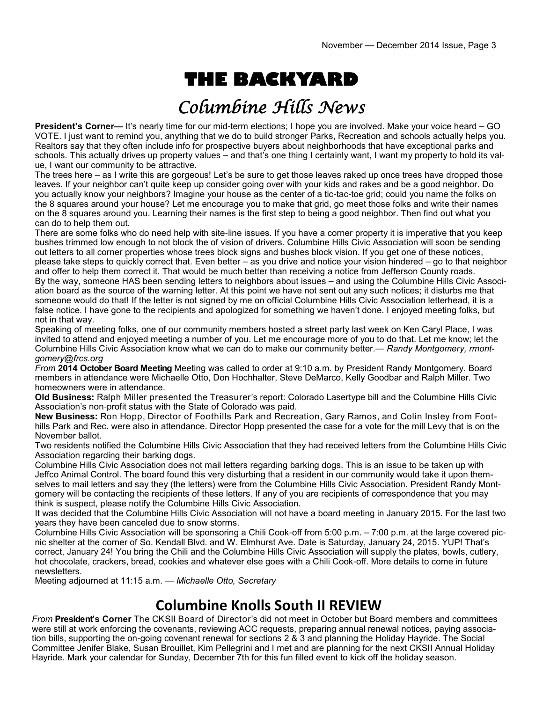# **THE BACKYARD**

## Columbine Hills News

**President's Corner—** It's nearly time for our mid-term elections; I hope you are involved. Make your voice heard – GO VOTE. I just want to remind you, anything that we do to build stronger Parks, Recreation and schools actually helps you. Realtors say that they often include info for prospective buyers about neighborhoods that have exceptional parks and schools. This actually drives up property values – and that's one thing I certainly want, I want my property to hold its value, I want our community to be attractive.

The trees here – as I write this are gorgeous! Let's be sure to get those leaves raked up once trees have dropped those leaves. If your neighbor can't quite keep up consider going over with your kids and rakes and be a good neighbor. Do you actually know your neighbors? Imagine your house as the center of a tic-tac-toe grid; could you name the folks on the 8 squares around your house? Let me encourage you to make that grid, go meet those folks and write their names on the 8 squares around you. Learning their names is the first step to being a good neighbor. Then find out what you can do to help them out.

There are some folks who do need help with site-line issues. If you have a corner property it is imperative that you keep bushes trimmed low enough to not block the of vision of drivers. Columbine Hills Civic Association will soon be sending out letters to all corner properties whose trees block signs and bushes block vision. If you get one of these notices, please take steps to quickly correct that. Even better – as you drive and notice your vision hindered – go to that neighbor and offer to help them correct it. That would be much better than receiving a notice from Jefferson County roads. By the way, someone HAS been sending letters to neighbors about issues – and using the Columbine Hills Civic Association board as the source of the warning letter. At this point we have not sent out any such notices; it disturbs me that someone would do that! If the letter is not signed by me on official Columbine Hills Civic Association letterhead, it is a false notice. I have gone to the recipients and apologized for something we haven't done. I enjoyed meeting folks, but not in that way.

Speaking of meeting folks, one of our community members hosted a street party last week on Ken Caryl Place, I was invited to attend and enjoyed meeting a number of you. Let me encourage more of you to do that. Let me know; let the Columbine Hills Civic Association know what we can do to make our community better.— *Randy Montgomery, rmontgomery@frcs.org* 

*From* **2014 October Board Meeting** Meeting was called to order at 9:10 a.m. by President Randy Montgomery. Board members in attendance were Michaelle Otto, Don Hochhalter, Steve DeMarco, Kelly Goodbar and Ralph Miller. Two homeowners were in attendance.

**Old Business:** Ralph Miller presented the Treasurer's report: Colorado Lasertype bill and the Columbine Hills Civic Association's non-profit status with the State of Colorado was paid.

**New Business:** Ron Hopp, Director of Foothills Park and Recreation, Gary Ramos, and Colin Insley from Foothills Park and Rec. were also in attendance. Director Hopp presented the case for a vote for the mill Levy that is on the November ballot.

Two residents notified the Columbine Hills Civic Association that they had received letters from the Columbine Hills Civic Association regarding their barking dogs.

Columbine Hills Civic Association does not mail letters regarding barking dogs. This is an issue to be taken up with Jeffco Animal Control. The board found this very disturbing that a resident in our community would take it upon themselves to mail letters and say they (the letters) were from the Columbine Hills Civic Association. President Randy Montgomery will be contacting the recipients of these letters. If any of you are recipients of correspondence that you may think is suspect, please notify the Columbine Hills Civic Association.

It was decided that the Columbine Hills Civic Association will not have a board meeting in January 2015. For the last two years they have been canceled due to snow storms.

Columbine Hills Civic Association will be sponsoring a Chili Cook-off from 5:00 p.m. – 7:00 p.m. at the large covered picnic shelter at the corner of So. Kendall Blvd. and W. Elmhurst Ave. Date is Saturday, January 24, 2015. YUP! That's correct, January 24! You bring the Chili and the Columbine Hills Civic Association will supply the plates, bowls, cutlery, hot chocolate, crackers, bread, cookies and whatever else goes with a Chili Cook-off. More details to come in future newsletters.

Meeting adjourned at 11:15 a.m. — *Michaelle Otto, Secretary*

### **Columbine Knolls South II REVIEW**

*From* **President's Corner** The CKSII Board of Director's did not meet in October but Board members and committees were still at work enforcing the covenants, reviewing ACC requests, preparing annual renewal notices, paying association bills, supporting the on-going covenant renewal for sections 2 & 3 and planning the Holiday Hayride. The Social Committee Jenifer Blake, Susan Brouillet, Kim Pellegrini and I met and are planning for the next CKSII Annual Holiday Hayride. Mark your calendar for Sunday, December 7th for this fun filled event to kick off the holiday season.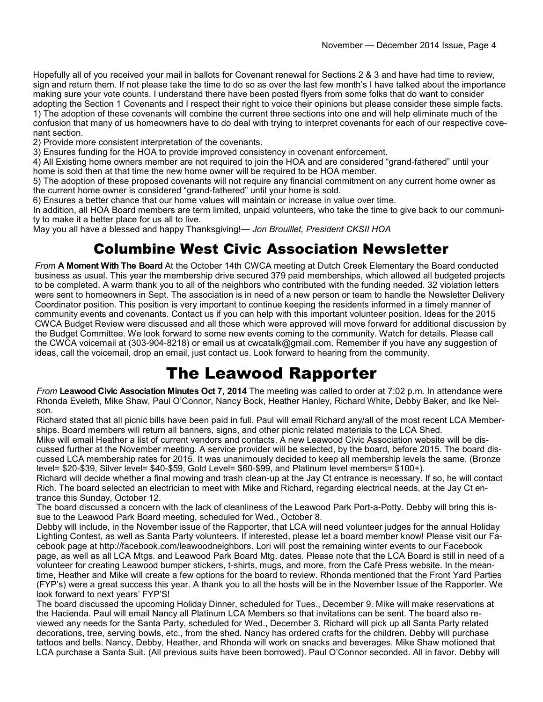Hopefully all of you received your mail in ballots for Covenant renewal for Sections 2 & 3 and have had time to review, sign and return them. If not please take the time to do so as over the last few month's I have talked about the importance making sure your vote counts. I understand there have been posted flyers from some folks that do want to consider adopting the Section 1 Covenants and I respect their right to voice their opinions but please consider these simple facts. 1) The adoption of these covenants will combine the current three sections into one and will help eliminate much of the confusion that many of us homeowners have to do deal with trying to interpret covenants for each of our respective covenant section.

2) Provide more consistent interpretation of the covenants.

3) Ensures funding for the HOA to provide improved consistency in covenant enforcement.

4) All Existing home owners member are not required to join the HOA and are considered "grand-fathered" until your home is sold then at that time the new home owner will be required to be HOA member.

5) The adoption of these proposed covenants will not require any financial commitment on any current home owner as the current home owner is considered "grand-fathered" until your home is sold.

6) Ensures a better chance that our home values will maintain or increase in value over time.

In addition, all HOA Board members are term limited, unpaid volunteers, who take the time to give back to our community to make it a better place for us all to live.

May you all have a blessed and happy Thanksgiving!— *Jon Brouillet, President CKSII HOA*

### Columbine West Civic Association Newsletter

*From* **A Moment With The Board** At the October 14th CWCA meeting at Dutch Creek Elementary the Board conducted business as usual. This year the membership drive secured 379 paid memberships, which allowed all budgeted projects to be completed. A warm thank you to all of the neighbors who contributed with the funding needed. 32 violation letters were sent to homeowners in Sept. The association is in need of a new person or team to handle the Newsletter Delivery Coordinator position. This position is very important to continue keeping the residents informed in a timely manner of community events and covenants. Contact us if you can help with this important volunteer position. Ideas for the 2015 CWCA Budget Review were discussed and all those which were approved will move forward for additional discussion by the Budget Committee. We look forward to some new events coming to the community. Watch for details. Please call the CWCA voicemail at (303-904-8218) or email us at cwcatalk@gmail.com. Remember if you have any suggestion of ideas, call the voicemail, drop an email, just contact us. Look forward to hearing from the community.

## The Leawood Rapporter

*From* **Leawood Civic Association Minutes Oct 7, 2014** The meeting was called to order at 7:02 p.m. In attendance were Rhonda Eveleth, Mike Shaw, Paul O'Connor, Nancy Bock, Heather Hanley, Richard White, Debby Baker, and Ike Nelson.

Richard stated that all picnic bills have been paid in full. Paul will email Richard any/all of the most recent LCA Memberships. Board members will return all banners, signs, and other picnic related materials to the LCA Shed.

Mike will email Heather a list of current vendors and contacts. A new Leawood Civic Association website will be discussed further at the November meeting. A service provider will be selected, by the board, before 2015. The board discussed LCA membership rates for 2015. It was unanimously decided to keep all membership levels the same. (Bronze level= \$20-\$39, Silver level= \$40-\$59, Gold Level= \$60-\$99, and Platinum level members= \$100+).

Richard will decide whether a final mowing and trash clean-up at the Jay Ct entrance is necessary. If so, he will contact Rich. The board selected an electrician to meet with Mike and Richard, regarding electrical needs, at the Jay Ct entrance this Sunday, October 12.

The board discussed a concern with the lack of cleanliness of the Leawood Park Port-a-Potty. Debby will bring this issue to the Leawood Park Board meeting, scheduled for Wed., October 8.

Debby will include, in the November issue of the Rapporter, that LCA will need volunteer judges for the annual Holiday Lighting Contest, as well as Santa Party volunteers. If interested, please let a board member know! Please visit our Facebook page at http://facebook.com/leawoodneighbors. Lori will post the remaining winter events to our Facebook page, as well as all LCA Mtgs. and Leawood Park Board Mtg. dates. Please note that the LCA Board is still in need of a volunteer for creating Leawood bumper stickers, t-shirts, mugs, and more, from the Café Press website. In the meantime, Heather and Mike will create a few options for the board to review. Rhonda mentioned that the Front Yard Parties (FYP's) were a great success this year. A thank you to all the hosts will be in the November Issue of the Rapporter. We look forward to next years' FYP'S!

The board discussed the upcoming Holiday Dinner, scheduled for Tues., December 9. Mike will make reservations at the Hacienda. Paul will email Nancy all Platinum LCA Members so that invitations can be sent. The board also reviewed any needs for the Santa Party, scheduled for Wed., December 3. Richard will pick up all Santa Party related decorations, tree, serving bowls, etc., from the shed. Nancy has ordered crafts for the children. Debby will purchase tattoos and bells. Nancy, Debby, Heather, and Rhonda will work on snacks and beverages. Mike Shaw motioned that LCA purchase a Santa Suit. (All previous suits have been borrowed). Paul O'Connor seconded. All in favor. Debby will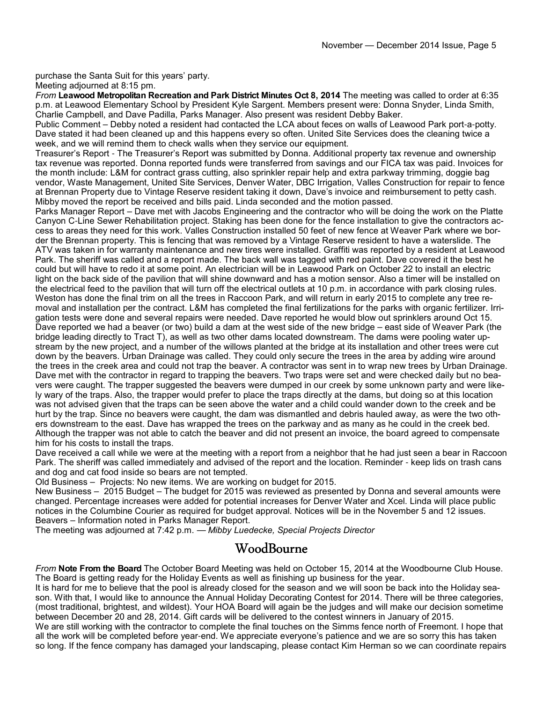purchase the Santa Suit for this years' party. Meeting adjourned at 8:15 pm.

*From* **Leawood Metropolitan Recreation and Park District Minutes Oct 8, 2014** The meeting was called to order at 6:35 p.m. at Leawood Elementary School by President Kyle Sargent. Members present were: Donna Snyder, Linda Smith, Charlie Campbell, and Dave Padilla, Parks Manager. Also present was resident Debby Baker.

Public Comment – Debby noted a resident had contacted the LCA about feces on walls of Leawood Park port-a-potty. Dave stated it had been cleaned up and this happens every so often. United Site Services does the cleaning twice a week, and we will remind them to check walls when they service our equipment.

Treasurer's Report - The Treasurer's Report was submitted by Donna. Additional property tax revenue and ownership tax revenue was reported. Donna reported funds were transferred from savings and our FICA tax was paid. Invoices for the month include: L&M for contract grass cutting, also sprinkler repair help and extra parkway trimming, doggie bag vendor, Waste Management, United Site Services, Denver Water, DBC Irrigation, Valles Construction for repair to fence at Brennan Property due to Vintage Reserve resident taking it down, Dave's invoice and reimbursement to petty cash. Mibby moved the report be received and bills paid. Linda seconded and the motion passed.

Parks Manager Report – Dave met with Jacobs Engineering and the contractor who will be doing the work on the Platte Canyon C-Line Sewer Rehabilitation project. Staking has been done for the fence installation to give the contractors access to areas they need for this work. Valles Construction installed 50 feet of new fence at Weaver Park where we border the Brennan property. This is fencing that was removed by a Vintage Reserve resident to have a waterslide. The ATV was taken in for warranty maintenance and new tires were installed. Graffiti was reported by a resident at Leawood Park. The sheriff was called and a report made. The back wall was tagged with red paint. Dave covered it the best he could but will have to redo it at some point. An electrician will be in Leawood Park on October 22 to install an electric light on the back side of the pavilion that will shine downward and has a motion sensor. Also a timer will be installed on the electrical feed to the pavilion that will turn off the electrical outlets at 10 p.m. in accordance with park closing rules. Weston has done the final trim on all the trees in Raccoon Park, and will return in early 2015 to complete any tree removal and installation per the contract. L&M has completed the final fertilizations for the parks with organic fertilizer. Irrigation tests were done and several repairs were needed. Dave reported he would blow out sprinklers around Oct 15. Dave reported we had a beaver (or two) build a dam at the west side of the new bridge – east side of Weaver Park (the bridge leading directly to Tract T), as well as two other dams located downstream. The dams were pooling water upstream by the new project, and a number of the willows planted at the bridge at its installation and other trees were cut down by the beavers. Urban Drainage was called. They could only secure the trees in the area by adding wire around the trees in the creek area and could not trap the beaver. A contractor was sent in to wrap new trees by Urban Drainage. Dave met with the contractor in regard to trapping the beavers. Two traps were set and were checked daily but no beavers were caught. The trapper suggested the beavers were dumped in our creek by some unknown party and were likely wary of the traps. Also, the trapper would prefer to place the traps directly at the dams, but doing so at this location was not advised given that the traps can be seen above the water and a child could wander down to the creek and be hurt by the trap. Since no beavers were caught, the dam was dismantled and debris hauled away, as were the two others downstream to the east. Dave has wrapped the trees on the parkway and as many as he could in the creek bed. Although the trapper was not able to catch the beaver and did not present an invoice, the board agreed to compensate him for his costs to install the traps.

Dave received a call while we were at the meeting with a report from a neighbor that he had just seen a bear in Raccoon Park. The sheriff was called immediately and advised of the report and the location. Reminder - keep lids on trash cans and dog and cat food inside so bears are not tempted.

Old Business – Projects: No new items. We are working on budget for 2015.

New Business – 2015 Budget – The budget for 2015 was reviewed as presented by Donna and several amounts were changed. Percentage increases were added for potential increases for Denver Water and Xcel. Linda will place public notices in the Columbine Courier as required for budget approval. Notices will be in the November 5 and 12 issues. Beavers – Information noted in Parks Manager Report.

The meeting was adjourned at 7:42 p.m. — *Mibby Luedecke, Special Projects Director*

#### WoodBourne

*From* **Note From the Board** The October Board Meeting was held on October 15, 2014 at the Woodbourne Club House. The Board is getting ready for the Holiday Events as well as finishing up business for the year.

It is hard for me to believe that the pool is already closed for the season and we will soon be back into the Holiday season. With that, I would like to announce the Annual Holiday Decorating Contest for 2014. There will be three categories, (most traditional, brightest, and wildest). Your HOA Board will again be the judges and will make our decision sometime between December 20 and 28, 2014. Gift cards will be delivered to the contest winners in January of 2015.

We are still working with the contractor to complete the final touches on the Simms fence north of Freemont. I hope that all the work will be completed before year-end. We appreciate everyone's patience and we are so sorry this has taken so long. If the fence company has damaged your landscaping, please contact Kim Herman so we can coordinate repairs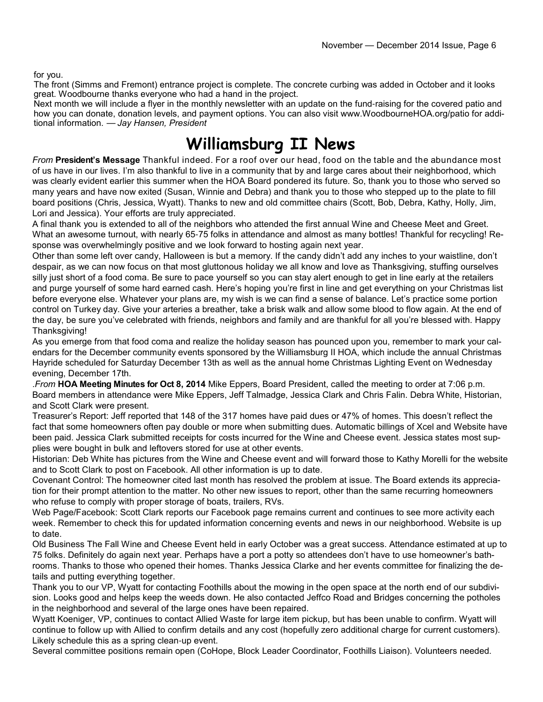for you.

The front (Simms and Fremont) entrance project is complete. The concrete curbing was added in October and it looks great. Woodbourne thanks everyone who had a hand in the project.

Next month we will include a flyer in the monthly newsletter with an update on the fund-raising for the covered patio and how you can donate, donation levels, and payment options. You can also visit www.WoodbourneHOA.org/patio for additional information. — *Jay Hansen, President*

## **Williamsburg II News**

*From* **President's Message** Thankful indeed. For a roof over our head, food on the table and the abundance most of us have in our lives. I'm also thankful to live in a community that by and large cares about their neighborhood, which was clearly evident earlier this summer when the HOA Board pondered its future. So, thank you to those who served so many years and have now exited (Susan, Winnie and Debra) and thank you to those who stepped up to the plate to fill board positions (Chris, Jessica, Wyatt). Thanks to new and old committee chairs (Scott, Bob, Debra, Kathy, Holly, Jim, Lori and Jessica). Your efforts are truly appreciated.

A final thank you is extended to all of the neighbors who attended the first annual Wine and Cheese Meet and Greet. What an awesome turnout, with nearly 65-75 folks in attendance and almost as many bottles! Thankful for recycling! Response was overwhelmingly positive and we look forward to hosting again next year.

Other than some left over candy, Halloween is but a memory. If the candy didn't add any inches to your waistline, don't despair, as we can now focus on that most gluttonous holiday we all know and love as Thanksgiving, stuffing ourselves silly just short of a food coma. Be sure to pace yourself so you can stay alert enough to get in line early at the retailers and purge yourself of some hard earned cash. Here's hoping you're first in line and get everything on your Christmas list before everyone else. Whatever your plans are, my wish is we can find a sense of balance. Let's practice some portion control on Turkey day. Give your arteries a breather, take a brisk walk and allow some blood to flow again. At the end of the day, be sure you've celebrated with friends, neighbors and family and are thankful for all you're blessed with. Happy Thanksgiving!

As you emerge from that food coma and realize the holiday season has pounced upon you, remember to mark your calendars for the December community events sponsored by the Williamsburg II HOA, which include the annual Christmas Hayride scheduled for Saturday December 13th as well as the annual home Christmas Lighting Event on Wednesday evening, December 17th.

.*From* **HOA Meeting Minutes for Oct 8, 2014** Mike Eppers, Board President, called the meeting to order at 7:06 p.m. Board members in attendance were Mike Eppers, Jeff Talmadge, Jessica Clark and Chris Falin. Debra White, Historian, and Scott Clark were present.

Treasurer's Report: Jeff reported that 148 of the 317 homes have paid dues or 47% of homes. This doesn't reflect the fact that some homeowners often pay double or more when submitting dues. Automatic billings of Xcel and Website have been paid. Jessica Clark submitted receipts for costs incurred for the Wine and Cheese event. Jessica states most supplies were bought in bulk and leftovers stored for use at other events.

Historian: Deb White has pictures from the Wine and Cheese event and will forward those to Kathy Morelli for the website and to Scott Clark to post on Facebook. All other information is up to date.

Covenant Control: The homeowner cited last month has resolved the problem at issue. The Board extends its appreciation for their prompt attention to the matter. No other new issues to report, other than the same recurring homeowners who refuse to comply with proper storage of boats, trailers, RVs.

Web Page/Facebook: Scott Clark reports our Facebook page remains current and continues to see more activity each week. Remember to check this for updated information concerning events and news in our neighborhood. Website is up to date.

Old Business The Fall Wine and Cheese Event held in early October was a great success. Attendance estimated at up to 75 folks. Definitely do again next year. Perhaps have a port a potty so attendees don't have to use homeowner's bathrooms. Thanks to those who opened their homes. Thanks Jessica Clarke and her events committee for finalizing the details and putting everything together.

Thank you to our VP, Wyatt for contacting Foothills about the mowing in the open space at the north end of our subdivision. Looks good and helps keep the weeds down. He also contacted Jeffco Road and Bridges concerning the potholes in the neighborhood and several of the large ones have been repaired.

Wyatt Koeniger, VP, continues to contact Allied Waste for large item pickup, but has been unable to confirm. Wyatt will continue to follow up with Allied to confirm details and any cost (hopefully zero additional charge for current customers). Likely schedule this as a spring clean-up event.

Several committee positions remain open (CoHope, Block Leader Coordinator, Foothills Liaison). Volunteers needed.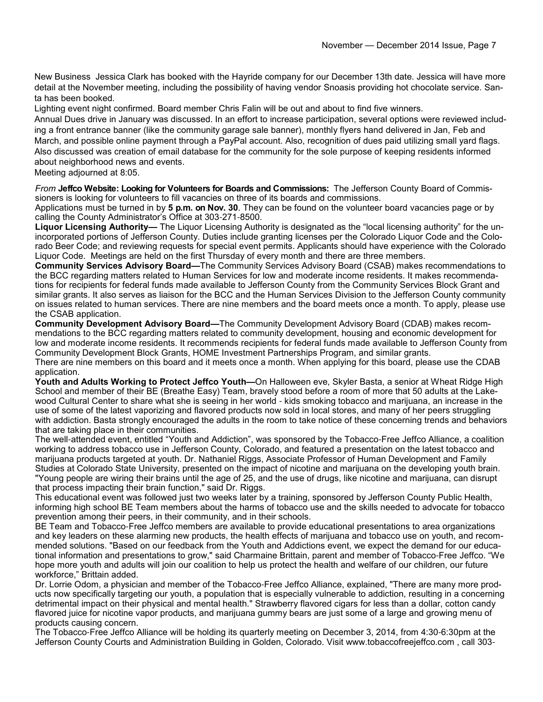New Business Jessica Clark has booked with the Hayride company for our December 13th date. Jessica will have more detail at the November meeting, including the possibility of having vendor Snoasis providing hot chocolate service. Santa has been booked.

Lighting event night confirmed. Board member Chris Falin will be out and about to find five winners.

Annual Dues drive in January was discussed. In an effort to increase participation, several options were reviewed including a front entrance banner (like the community garage sale banner), monthly flyers hand delivered in Jan, Feb and March, and possible online payment through a PayPal account. Also, recognition of dues paid utilizing small yard flags. Also discussed was creation of email database for the community for the sole purpose of keeping residents informed about neighborhood news and events.

Meeting adjourned at 8:05.

*From* **Jeffco Website: Looking for Volunteers for Boards and Commissions:** The Jefferson County Board of Commissioners is looking for volunteers to fill vacancies on three of its boards and commissions.

Applications must be turned in by **5 p.m. on Nov. 30**. They can be found on the volunteer board vacancies page or by calling the County Administrator's Office at 303-271-8500.

**Liquor Licensing Authority—** The Liquor Licensing Authority is designated as the "local licensing authority" for the unincorporated portions of Jefferson County. Duties include granting licenses per the Colorado Liquor Code and the Colorado Beer Code; and reviewing requests for special event permits. Applicants should have experience with the Colorado Liquor Code. Meetings are held on the first Thursday of every month and there are three members.

**Community Services Advisory Board—**The Community Services Advisory Board (CSAB) makes recommendations to the BCC regarding matters related to Human Services for low and moderate income residents. It makes recommendations for recipients for federal funds made available to Jefferson County from the Community Services Block Grant and similar grants. It also serves as liaison for the BCC and the Human Services Division to the Jefferson County community on issues related to human services. There are nine members and the board meets once a month. To apply, please use the CSAB application.

**Community Development Advisory Board—**The Community Development Advisory Board (CDAB) makes recommendations to the BCC regarding matters related to community development, housing and economic development for low and moderate income residents. It recommends recipients for federal funds made available to Jefferson County from Community Development Block Grants, HOME Investment Partnerships Program, and similar grants.

There are nine members on this board and it meets once a month. When applying for this board, please use the CDAB application.

**Youth and Adults Working to Protect Jeffco Youth—**On Halloween eve, Skyler Basta, a senior at Wheat Ridge High School and member of their BE (Breathe Easy) Team, bravely stood before a room of more that 50 adults at the Lakewood Cultural Center to share what she is seeing in her world - kids smoking tobacco and marijuana, an increase in the use of some of the latest vaporizing and flavored products now sold in local stores, and many of her peers struggling with addiction. Basta strongly encouraged the adults in the room to take notice of these concerning trends and behaviors that are taking place in their communities.

The well-attended event, entitled "Youth and Addiction", was sponsored by the Tobacco-Free Jeffco Alliance, a coalition working to address tobacco use in Jefferson County, Colorado, and featured a presentation on the latest tobacco and marijuana products targeted at youth. Dr. Nathaniel Riggs, Associate Professor of Human Development and Family Studies at Colorado State University, presented on the impact of nicotine and marijuana on the developing youth brain. "Young people are wiring their brains until the age of 25, and the use of drugs, like nicotine and marijuana, can disrupt that process impacting their brain function," said Dr. Riggs.

This educational event was followed just two weeks later by a training, sponsored by Jefferson County Public Health, informing high school BE Team members about the harms of tobacco use and the skills needed to advocate for tobacco prevention among their peers, in their community, and in their schools.

BE Team and Tobacco-Free Jeffco members are available to provide educational presentations to area organizations and key leaders on these alarming new products, the health effects of marijuana and tobacco use on youth, and recommended solutions. "Based on our feedback from the Youth and Addictions event, we expect the demand for our educational information and presentations to grow," said Charmaine Brittain, parent and member of Tobacco-Free Jeffco. "We hope more youth and adults will join our coalition to help us protect the health and welfare of our children, our future workforce," Brittain added.

Dr. Lorrie Odom, a physician and member of the Tobacco-Free Jeffco Alliance, explained, "There are many more products now specifically targeting our youth, a population that is especially vulnerable to addiction, resulting in a concerning detrimental impact on their physical and mental health." Strawberry flavored cigars for less than a dollar, cotton candy flavored juice for nicotine vapor products, and marijuana gummy bears are just some of a large and growing menu of products causing concern.

The Tobacco-Free Jeffco Alliance will be holding its quarterly meeting on December 3, 2014, from 4:30-6:30pm at the Jefferson County Courts and Administration Building in Golden, Colorado. Visit www.tobaccofreejeffco.com , call 303-